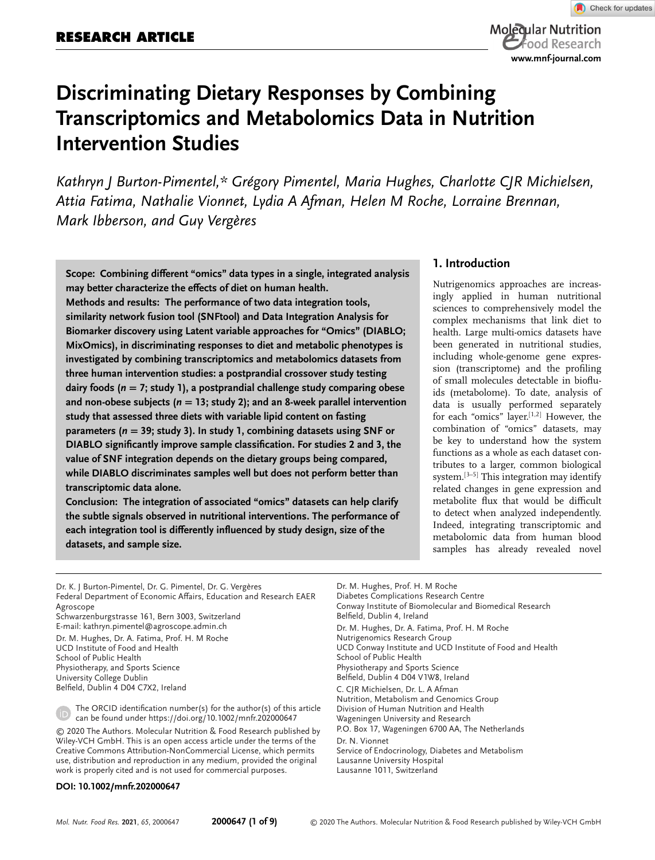# **Discriminating Dietary Responses by Combining Transcriptomics and Metabolomics Data in Nutrition Intervention Studies**

*Kathryn J Burton-Pimentel,\* Grégory Pimentel, Maria Hughes, Charlotte CJR Michielsen, Attia Fatima, Nathalie Vionnet, Lydia A Afman, Helen M Roche, Lorraine Brennan, Mark Ibberson, and Guy Vergères*

**Scope: Combining different "omics" data types in a single, integrated analysis may better characterize the effects of diet on human health. Methods and results: The performance of two data integration tools, similarity network fusion tool (SNFtool) and Data Integration Analysis for Biomarker discovery using Latent variable approaches for "Omics" (DIABLO; MixOmics), in discriminating responses to diet and metabolic phenotypes is investigated by combining transcriptomics and metabolomics datasets from three human intervention studies: a postprandial crossover study testing dairy foods (***n* **= 7; study 1), a postprandial challenge study comparing obese and non-obese subjects (***n* **= 13; study 2); and an 8-week parallel intervention study that assessed three diets with variable lipid content on fasting parameters (***n* **= 39; study 3). In study 1, combining datasets using SNF or DIABLO significantly improve sample classification. For studies 2 and 3, the value of SNF integration depends on the dietary groups being compared, while DIABLO discriminates samples well but does not perform better than transcriptomic data alone.**

**Conclusion: The integration of associated "omics" datasets can help clarify the subtle signals observed in nutritional interventions. The performance of each integration tool is differently influenced by study design, size of the datasets, and sample size.**

### **1. Introduction**

Nutrigenomics approaches are increasingly applied in human nutritional sciences to comprehensively model the complex mechanisms that link diet to health. Large multi-omics datasets have been generated in nutritional studies, including whole-genome gene expression (transcriptome) and the profiling of small molecules detectable in biofluids (metabolome). To date, analysis of data is usually performed separately for each "omics" layer.[1,2] However, the combination of "omics" datasets, may be key to understand how the system functions as a whole as each dataset contributes to a larger, common biological system.<sup>[3-5]</sup> This integration may identify related changes in gene expression and metabolite flux that would be difficult to detect when analyzed independently. Indeed, integrating transcriptomic and metabolomic data from human blood samples has already revealed novel

Dr. K. J Burton-Pimentel, Dr. G. Pimentel, Dr. G. Vergères Federal Department of Economic Affairs, Education and Research EAER Agroscope

Schwarzenburgstrasse 161, Bern 3003, Switzerland E-mail: [kathryn.pimentel@agroscope.admin.ch](mailto:kathryn.pimentel@agroscope.admin.ch) Dr. M. Hughes, Dr. A. Fatima, Prof. H. M Roche UCD Institute of Food and Health School of Public Health Physiotherapy, and Sports Science University College Dublin Belfield, Dublin 4 D04 C7X2, Ireland

The ORCID identification number(s) for the author(s) of this article can be found under<https://doi.org/10.1002/mnfr.202000647>

© 2020 The Authors. Molecular Nutrition & Food Research published by Wiley-VCH GmbH. This is an open access article under the terms of the [Creative Commons Attribution-NonCommercial](http://creativecommons.org/licenses/by-nc/4.0/) License, which permits use, distribution and reproduction in any medium, provided the original work is properly cited and is not used for commercial purposes.

### **DOI: 10.1002/mnfr.202000647**

Dr. M. Hughes, Prof. H. M Roche Diabetes Complications Research Centre

Nutrigenomics Research Group

Lausanne University Hospital

Belfield, Dublin 4, Ireland

School of Public Health Physiotherapy and Sports Science Belfield, Dublin 4 D04 V1W8, Ireland C. CJR Michielsen, Dr. L. A Afman

Dr. N. Vionnet

Conway Institute of Biomolecular and Biomedical Research

UCD Conway Institute and UCD Institute of Food and Health

Dr. M. Hughes, Dr. A. Fatima, Prof. H. M Roche

Nutrition, Metabolism and Genomics Group Division of Human Nutrition and Health Wageningen University and Research

P.O. Box 17, Wageningen 6700 AA, The Netherlands

Service of Endocrinology, Diabetes and Metabolism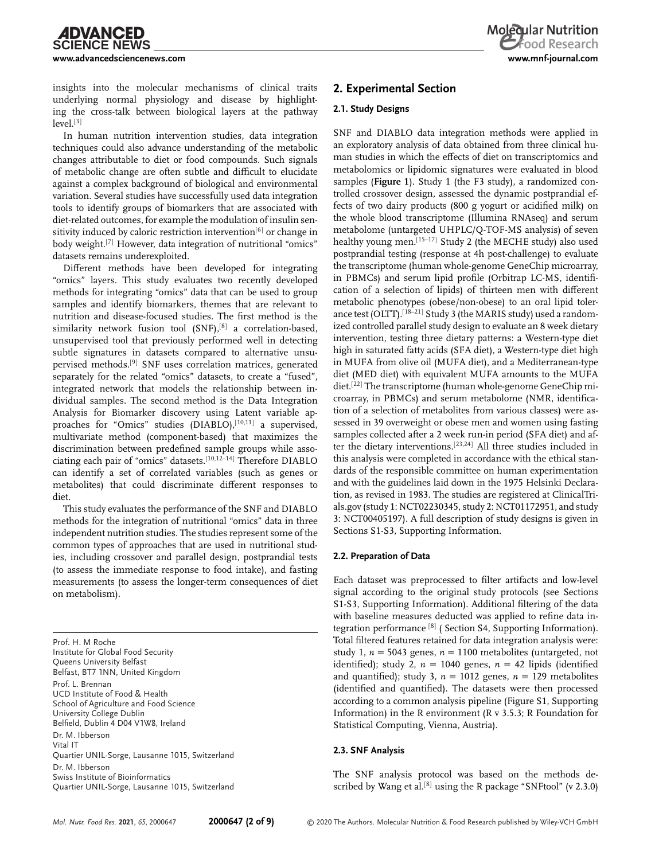insights into the molecular mechanisms of clinical traits underlying normal physiology and disease by highlighting the cross-talk between biological layers at the pathway  $level.<sup>[3]</sup>$ 

In human nutrition intervention studies, data integration techniques could also advance understanding of the metabolic changes attributable to diet or food compounds. Such signals of metabolic change are often subtle and difficult to elucidate against a complex background of biological and environmental variation. Several studies have successfully used data integration tools to identify groups of biomarkers that are associated with diet-related outcomes, for example the modulation of insulin sensitivity induced by caloric restriction intervention<sup>[6]</sup> or change in body weight.<sup>[7]</sup> However, data integration of nutritional "omics" datasets remains underexploited.

Different methods have been developed for integrating "omics" layers. This study evaluates two recently developed methods for integrating "omics" data that can be used to group samples and identify biomarkers, themes that are relevant to nutrition and disease-focused studies. The first method is the similarity network fusion tool (SNF),<sup>[8]</sup> a correlation-based, unsupervised tool that previously performed well in detecting subtle signatures in datasets compared to alternative unsupervised methods.[9] SNF uses correlation matrices, generated separately for the related "omics" datasets, to create a "fused", integrated network that models the relationship between individual samples. The second method is the Data Integration Analysis for Biomarker discovery using Latent variable approaches for "Omics" studies (DIABLO),<sup>[10,11]</sup> a supervised, multivariate method (component-based) that maximizes the discrimination between predefined sample groups while associating each pair of "omics" datasets.[10,12–14] Therefore DIABLO can identify a set of correlated variables (such as genes or metabolites) that could discriminate different responses to diet.

This study evaluates the performance of the SNF and DIABLO methods for the integration of nutritional "omics" data in three independent nutrition studies. The studies represent some of the common types of approaches that are used in nutritional studies, including crossover and parallel design, postprandial tests (to assess the immediate response to food intake), and fasting measurements (to assess the longer-term consequences of diet on metabolism).

Prof. H. M Roche Institute for Global Food Security Queens University Belfast Belfast, BT7 1NN, United Kingdom Prof. L. Brennan UCD Institute of Food & Health School of Agriculture and Food Science University College Dublin Belfield, Dublin 4 D04 V1W8, Ireland Dr. M. Ibberson Vital IT Quartier UNIL-Sorge, Lausanne 1015, Switzerland Dr. M. Ibberson Swiss Institute of Bioinformatics Quartier UNIL-Sorge, Lausanne 1015, Switzerland

## **2. Experimental Section**

### **2.1. Study Designs**

SNF and DIABLO data integration methods were applied in an exploratory analysis of data obtained from three clinical human studies in which the effects of diet on transcriptomics and metabolomics or lipidomic signatures were evaluated in blood samples (**Figure 1**). Study 1 (the F3 study), a randomized controlled crossover design, assessed the dynamic postprandial effects of two dairy products (800 g yogurt or acidified milk) on the whole blood transcriptome (Illumina RNAseq) and serum metabolome (untargeted UHPLC/Q-TOF-MS analysis) of seven healthy young men.<sup>[15-17]</sup> Study 2 (the MECHE study) also used postprandial testing (response at 4h post-challenge) to evaluate the transcriptome (human whole-genome GeneChip microarray, in PBMCs) and serum lipid profile (Orbitrap LC-MS, identification of a selection of lipids) of thirteen men with different metabolic phenotypes (obese/non-obese) to an oral lipid tolerance test (OLTT).<sup>[18–21]</sup> Study 3 (the MARIS study) used a randomized controlled parallel study design to evaluate an 8 week dietary intervention, testing three dietary patterns: a Western-type diet high in saturated fatty acids (SFA diet), a Western-type diet high in MUFA from olive oil (MUFA diet), and a Mediterranean-type diet (MED diet) with equivalent MUFA amounts to the MUFA diet.[22] The transcriptome (human whole-genome GeneChip microarray, in PBMCs) and serum metabolome (NMR, identification of a selection of metabolites from various classes) were assessed in 39 overweight or obese men and women using fasting samples collected after a 2 week run-in period (SFA diet) and after the dietary interventions.[23,24] All three studies included in this analysis were completed in accordance with the ethical standards of the responsible committee on human experimentation and with the guidelines laid down in the 1975 Helsinki Declaration, as revised in 1983. The studies are registered at ClinicalTrials.gov (study 1: NCT02230345, study 2: NCT01172951, and study 3: NCT00405197). A full description of study designs is given in Sections S1-S3, Supporting Information.

### **2.2. Preparation of Data**

Each dataset was preprocessed to filter artifacts and low-level signal according to the original study protocols (see Sections S1-S3, Supporting Information). Additional filtering of the data with baseline measures deducted was applied to refine data integration performance [8] ( Section S4, Supporting Information). Total filtered features retained for data integration analysis were: study 1,  $n = 5043$  genes,  $n = 1100$  metabolites (untargeted, not identified); study 2,  $n = 1040$  genes,  $n = 42$  lipids (identified and quantified); study 3,  $n = 1012$  genes,  $n = 129$  metabolites (identified and quantified). The datasets were then processed according to a common analysis pipeline (Figure S1, Supporting Information) in the R environment (R v 3.5.3; R Foundation for Statistical Computing, Vienna, Austria).

### **2.3. SNF Analysis**

The SNF analysis protocol was based on the methods described by Wang et al.<sup>[8]</sup> using the R package "SNFtool" (v 2.3.0)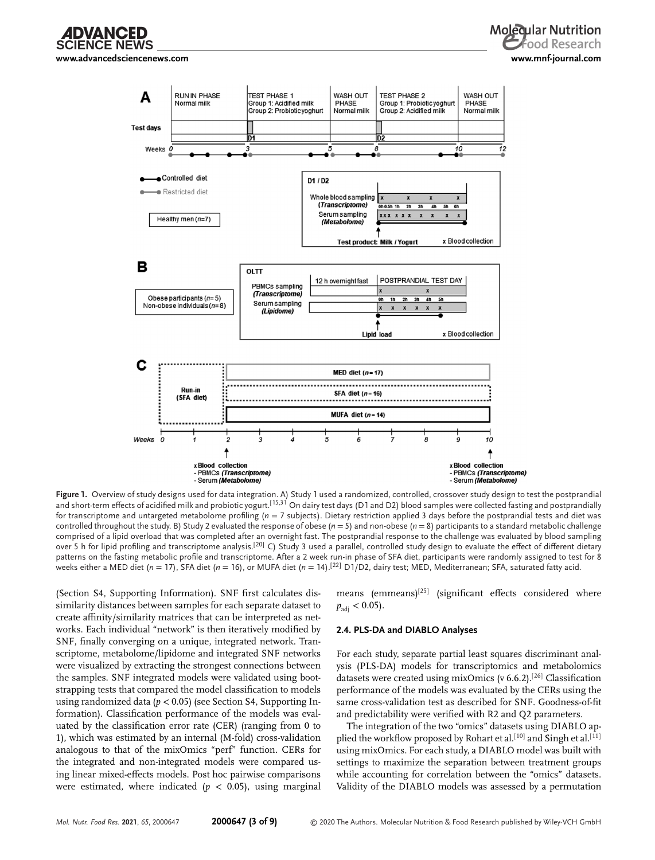**[www.advancedsciencenews.com](http://www.advancedsciencenews.com) [www.mnf-journal.com](http://www.mnf-journal.com)**



**Figure 1.** Overview of study designs used for data integration. A) Study 1 used a randomized, controlled, crossover study design to test the postprandial and short-term effects of acidified milk and probiotic yogurt.<sup>[15,31</sup> On dairy test days (D1 and D2) blood samples were collected fasting and postprandially for transcriptome and untargeted metabolome profiling (*n* = 7 subjects). Dietary restriction applied 3 days before the postprandial tests and diet was controlled throughout the study. B) Study 2 evaluated the response of obese (*n* = 5) and non-obese (*n* = 8) participants to a standard metabolic challenge comprised of a lipid overload that was completed after an overnight fast. The postprandial response to the challenge was evaluated by blood sampling over 5 h for lipid profiling and transcriptome analysis.<sup>[20]</sup> C) Study 3 used a parallel, controlled study design to evaluate the effect of different dietary patterns on the fasting metabolic profile and transcriptome. After a 2 week run-in phase of SFA diet, participants were randomly assigned to test for 8 weeks either a MED diet (*n* = 17), SFA diet (*n* = 16), or MUFA diet (*n* = 14).<sup>[22]</sup> D1/D2, dairy test; MED, Mediterranean; SFA, saturated fatty acid.

(Section S4, Supporting Information). SNF first calculates dissimilarity distances between samples for each separate dataset to create affinity/similarity matrices that can be interpreted as networks. Each individual "network" is then iteratively modified by SNF, finally converging on a unique, integrated network. Transcriptome, metabolome/lipidome and integrated SNF networks were visualized by extracting the strongest connections between the samples. SNF integrated models were validated using bootstrapping tests that compared the model classification to models using randomized data (*p <* 0.05) (see Section S4, Supporting Information). Classification performance of the models was evaluated by the classification error rate (CER) (ranging from 0 to 1), which was estimated by an internal (M-fold) cross-validation analogous to that of the mixOmics "perf" function. CERs for the integrated and non-integrated models were compared using linear mixed-effects models. Post hoc pairwise comparisons were estimated, where indicated ( $p < 0.05$ ), using marginal means (emmeans)<sup>[25]</sup> (significant effects considered where  $p_{\text{adi}} < 0.05$ ).

**Molecular Nutrition Food Research** 

#### **2.4. PLS-DA and DIABLO Analyses**

For each study, separate partial least squares discriminant analysis (PLS-DA) models for transcriptomics and metabolomics datasets were created using mixOmics (v 6.6.2).<sup>[26]</sup> Classification performance of the models was evaluated by the CERs using the same cross-validation test as described for SNF. Goodness-of-fit and predictability were verified with R2 and Q2 parameters.

The integration of the two "omics" datasets using DIABLO applied the workflow proposed by Rohart et al.<sup>[10]</sup> and Singh et al.<sup>[11]</sup> using mixOmics. For each study, a DIABLO model was built with settings to maximize the separation between treatment groups while accounting for correlation between the "omics" datasets. Validity of the DIABLO models was assessed by a permutation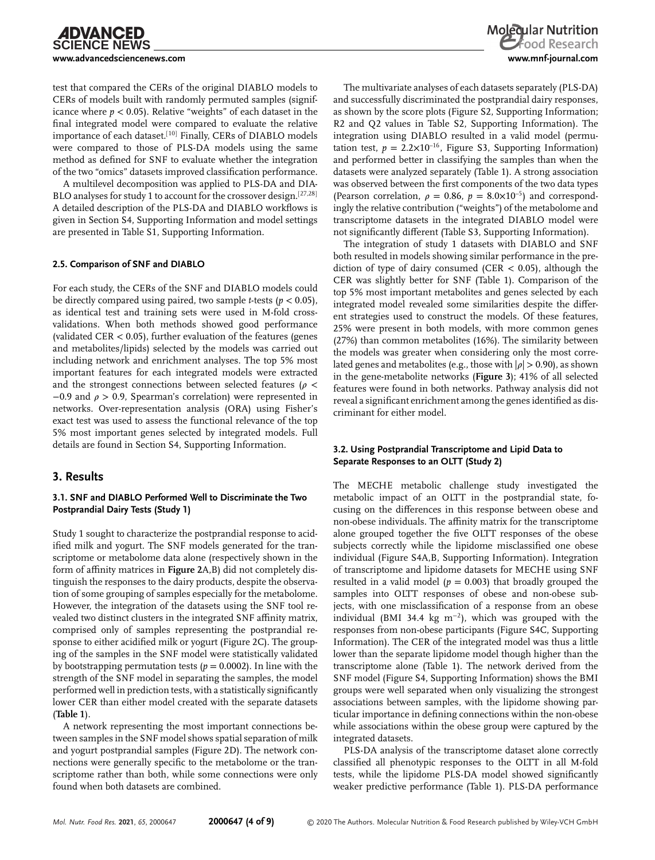test that compared the CERs of the original DIABLO models to CERs of models built with randomly permuted samples (significance where  $p < 0.05$ ). Relative "weights" of each dataset in the final integrated model were compared to evaluate the relative importance of each dataset.<sup>[10]</sup> Finally, CERs of DIABLO models were compared to those of PLS-DA models using the same method as defined for SNF to evaluate whether the integration of the two "omics" datasets improved classification performance.

A multilevel decomposition was applied to PLS-DA and DIA-BLO analyses for study 1 to account for the crossover design.<sup>[27,28]</sup> A detailed description of the PLS-DA and DIABLO workflows is given in Section S4, Supporting Information and model settings are presented in Table S1, Supporting Information.

### **2.5. Comparison of SNF and DIABLO**

For each study, the CERs of the SNF and DIABLO models could be directly compared using paired, two sample *t*-tests (*p <* 0.05), as identical test and training sets were used in M-fold crossvalidations. When both methods showed good performance (validated CER *<* 0.05), further evaluation of the features (genes and metabolites/lipids) selected by the models was carried out including network and enrichment analyses. The top 5% most important features for each integrated models were extracted and the strongest connections between selected features ( $\rho$  < −0.9 and  $\rho$  > 0.9, Spearman's correlation) were represented in networks. Over-representation analysis (ORA) using Fisher's exact test was used to assess the functional relevance of the top 5% most important genes selected by integrated models. Full details are found in Section S4, Supporting Information.

### **3. Results**

### **3.1. SNF and DIABLO Performed Well to Discriminate the Two Postprandial Dairy Tests (Study 1)**

Study 1 sought to characterize the postprandial response to acidified milk and yogurt. The SNF models generated for the transcriptome or metabolome data alone (respectively shown in the form of affinity matrices in **Figure 2**A,B) did not completely distinguish the responses to the dairy products, despite the observation of some grouping of samples especially for the metabolome. However, the integration of the datasets using the SNF tool revealed two distinct clusters in the integrated SNF affinity matrix, comprised only of samples representing the postprandial response to either acidified milk or yogurt (Figure 2C). The grouping of the samples in the SNF model were statistically validated by bootstrapping permutation tests ( $p = 0.0002$ ). In line with the strength of the SNF model in separating the samples, the model performed well in prediction tests, with a statistically significantly lower CER than either model created with the separate datasets (**Table 1**).

A network representing the most important connections between samples in the SNF model shows spatial separation of milk and yogurt postprandial samples (Figure 2D). The network connections were generally specific to the metabolome or the transcriptome rather than both, while some connections were only found when both datasets are combined.

The multivariate analyses of each datasets separately (PLS-DA) and successfully discriminated the postprandial dairy responses, as shown by the score plots (Figure S2, Supporting Information; R2 and Q2 values in Table S2, Supporting Information). The integration using DIABLO resulted in a valid model (permutation test,  $p = 2.2 \times 10^{-16}$ , Figure S3, Supporting Information) and performed better in classifying the samples than when the datasets were analyzed separately (Table 1). A strong association was observed between the first components of the two data types (Pearson correlation,  $\rho = 0.86$ ,  $p = 8.0 \times 10^{-5}$ ) and correspondingly the relative contribution ("weights") of the metabolome and transcriptome datasets in the integrated DIABLO model were not significantly different (Table S3, Supporting Information).

The integration of study 1 datasets with DIABLO and SNF both resulted in models showing similar performance in the prediction of type of dairy consumed (CER *<* 0.05), although the CER was slightly better for SNF (Table 1). Comparison of the top 5% most important metabolites and genes selected by each integrated model revealed some similarities despite the different strategies used to construct the models. Of these features, 25% were present in both models, with more common genes (27%) than common metabolites (16%). The similarity between the models was greater when considering only the most correlated genes and metabolites (e.g., those with  $|\rho| > 0.90$ ), as shown in the gene-metabolite networks (**Figure 3**); 41% of all selected features were found in both networks. Pathway analysis did not reveal a significant enrichment among the genes identified as discriminant for either model.

### **3.2. Using Postprandial Transcriptome and Lipid Data to Separate Responses to an OLTT (Study 2)**

The MECHE metabolic challenge study investigated the metabolic impact of an OLTT in the postprandial state, focusing on the differences in this response between obese and non-obese individuals. The affinity matrix for the transcriptome alone grouped together the five OLTT responses of the obese subjects correctly while the lipidome misclassified one obese individual (Figure S4A,B, Supporting Information). Integration of transcriptome and lipidome datasets for MECHE using SNF resulted in a valid model ( $p = 0.003$ ) that broadly grouped the samples into OLTT responses of obese and non-obese subjects, with one misclassification of a response from an obese individual (BMI 34.4 kg m<sup>−</sup>2), which was grouped with the responses from non-obese participants (Figure S4C, Supporting Information). The CER of the integrated model was thus a little lower than the separate lipidome model though higher than the transcriptome alone (Table 1). The network derived from the SNF model (Figure S4, Supporting Information) shows the BMI groups were well separated when only visualizing the strongest associations between samples, with the lipidome showing particular importance in defining connections within the non-obese while associations within the obese group were captured by the integrated datasets.

PLS-DA analysis of the transcriptome dataset alone correctly classified all phenotypic responses to the OLTT in all M-fold tests, while the lipidome PLS-DA model showed significantly weaker predictive performance (Table 1). PLS-DA performance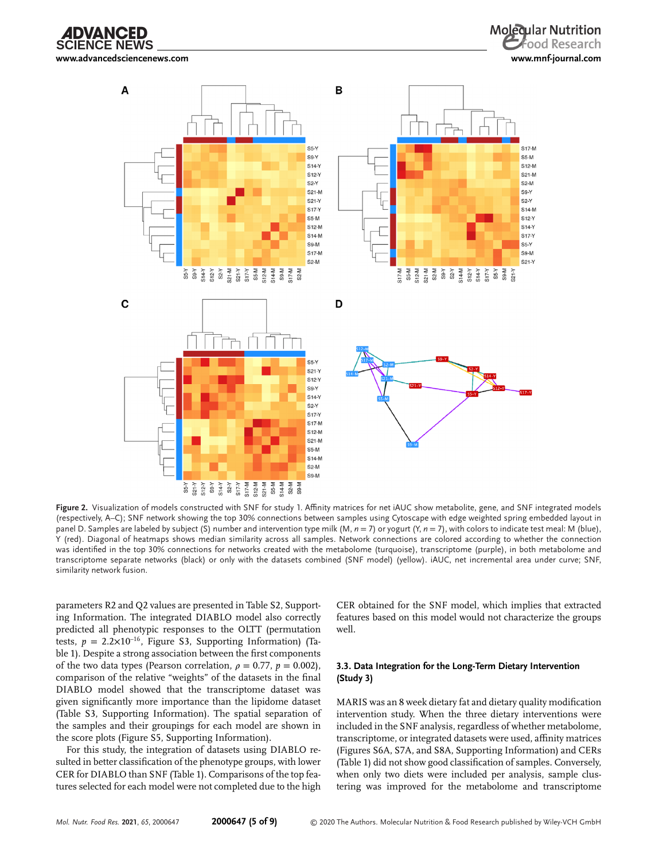:F NFWS

**Molecular Nutrition** food Research **[www.advancedsciencenews.com](http://www.advancedsciencenews.com) [www.mnf-journal.com](http://www.mnf-journal.com)**



**Figure 2.** Visualization of models constructed with SNF for study 1. Affinity matrices for net iAUC show metabolite, gene, and SNF integrated models (respectively, A–C); SNF network showing the top 30% connections between samples using Cytoscape with edge weighted spring embedded layout in panel D. Samples are labeled by subject (S) number and intervention type milk (M,  $n = 7$ ) or yogurt (Y,  $n = 7$ ), with colors to indicate test meal: M (blue), Y (red). Diagonal of heatmaps shows median similarity across all samples. Network connections are colored according to whether the connection was identified in the top 30% connections for networks created with the metabolome (turquoise), transcriptome (purple), in both metabolome and transcriptome separate networks (black) or only with the datasets combined (SNF model) (yellow). iAUC, net incremental area under curve; SNF, similarity network fusion.

parameters R2 and Q2 values are presented in Table S2, Supporting Information. The integrated DIABLO model also correctly predicted all phenotypic responses to the OLTT (permutation tests,  $p = 2.2 \times 10^{-16}$ , Figure S3, Supporting Information) (Table 1). Despite a strong association between the first components of the two data types (Pearson correlation,  $\rho = 0.77$ ,  $p = 0.002$ ), comparison of the relative "weights" of the datasets in the final DIABLO model showed that the transcriptome dataset was given significantly more importance than the lipidome dataset (Table S3, Supporting Information). The spatial separation of the samples and their groupings for each model are shown in the score plots (Figure S5, Supporting Information).

For this study, the integration of datasets using DIABLO resulted in better classification of the phenotype groups, with lower CER for DIABLO than SNF (Table 1). Comparisons of the top features selected for each model were not completed due to the high

CER obtained for the SNF model, which implies that extracted features based on this model would not characterize the groups well.

### **3.3. Data Integration for the Long-Term Dietary Intervention (Study 3)**

MARIS was an 8 week dietary fat and dietary quality modification intervention study. When the three dietary interventions were included in the SNF analysis, regardless of whether metabolome, transcriptome, or integrated datasets were used, affinity matrices (Figures S6A, S7A, and S8A, Supporting Information) and CERs (Table 1) did not show good classification of samples. Conversely, when only two diets were included per analysis, sample clustering was improved for the metabolome and transcriptome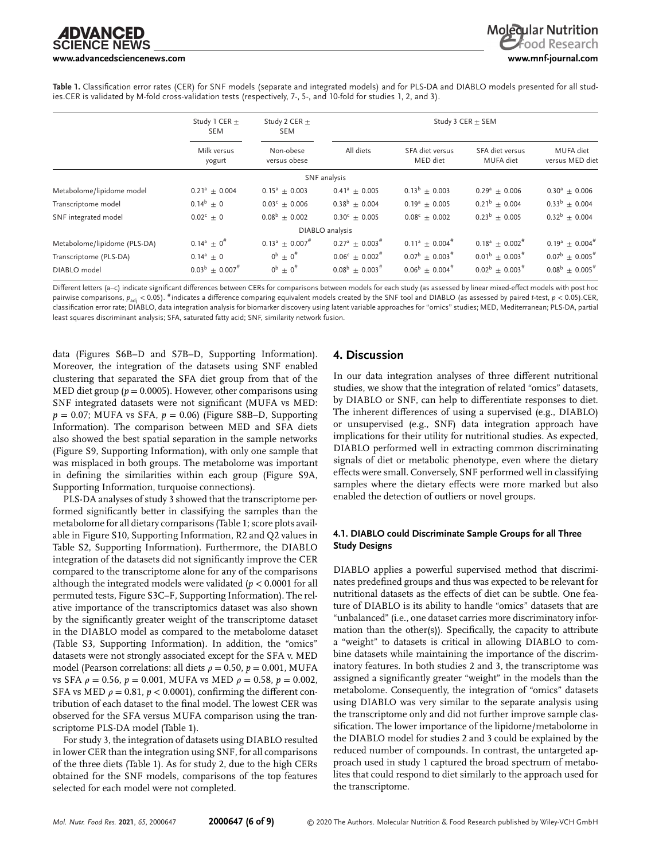#### **[www.advancedsciencenews.com](http://www.advancedsciencenews.com) [www.mnf-journal.com](http://www.mnf-journal.com)**

**Table 1.** Classification error rates (CER) for SNF models (separate and integrated models) and for PLS-DA and DIABLO models presented for all studies.CER is validated by M-fold cross-validation tests (respectively, 7-, 5-, and 10-fold for studies 1, 2, and 3).

|                              | Study 1 CER $\pm$<br><b>SEM</b><br>Milk versus<br>yogurt | Study 2 CER $\pm$<br><b>SEM</b><br>Non-obese<br>versus obese | Study 3 CER $\pm$ SEM       |                                 |                              |                                 |
|------------------------------|----------------------------------------------------------|--------------------------------------------------------------|-----------------------------|---------------------------------|------------------------------|---------------------------------|
|                              |                                                          |                                                              | All diets                   | SFA diet versus<br>MED diet     | SFA diet versus<br>MUFA diet | MUFA diet<br>versus MED diet    |
|                              |                                                          |                                                              | SNF analysis                |                                 |                              |                                 |
| Metabolome/lipidome model    | $0.21^a \pm 0.004$                                       | $0.15^a \pm 0.003$                                           | $0.41^a \pm 0.005$          | $0.13^{b} \pm 0.003$            | $0.29^a \pm 0.006$           | $0.30^a \pm 0.006$              |
| Transcriptome model          | $0.14^b + 0$                                             | $0.03^c + 0.006$                                             | $0.38^b + 0.004$            | $0.19^a \pm 0.005$              | $0.21^b \pm 0.004$           | $0.33^{b} + 0.004$              |
| SNF integrated model         | $0.02^c \pm 0$                                           | $0.08^b \pm 0.002$                                           | $0.30^{\circ} + 0.005$      | $0.08^c \pm 0.002$              | $0.23^b \pm 0.005$           | $0.32^b + 0.004$                |
|                              |                                                          |                                                              | DIABLO analysis             |                                 |                              |                                 |
| Metabolome/lipidome (PLS-DA) | 0.14 <sup>a</sup> $\pm$ 0 <sup>#</sup>                   | $0.13^a + 0.007^{\#}$                                        | $0.27^a + 0.003^{\#}$       | $0.11^a \pm 0.004^{\#}$         | $0.18^a \pm 0.002^{\#}$      | $0.19^a \pm 0.004^{\#}$         |
| Transcriptome (PLS-DA)       | $0.14^a \pm 0$                                           | $0^b + 0^{\#}$                                               | $0.06^{\circ} + 0.002^{\#}$ | $0.07^{\rm b} + 0.003^{\rm \#}$ | $0.01^b \pm 0.003^{\#}$      | $0.07^{\rm b} + 0.005^{\rm \#}$ |
| DIABLO model                 | $0.03^b \pm 0.007^{\#}$                                  | $0^b \pm 0^{\#}$                                             | $0.08^b \pm 0.003^{\#}$     | $0.06^b \pm 0.004^{\#}$         | $0.02^b \pm 0.003^{\#}$      | $0.08^b + 0.005^{\#}$           |

Different letters (a–c) indicate significant differences between CERs for comparisons between models for each study (as assessed by linear mixed-effect models with post hoc pairwise comparisons,  $p_{\text{adi}}$  < 0.05). #indicates a difference comparing equivalent models created by the SNF tool and DIABLO (as assessed by paired *t*-test,  $p$  < 0.05). CER, classification error rate; DIABLO, data integration analysis for biomarker discovery using latent variable approaches for "omics" studies; MED, Mediterranean; PLS-DA, partial least squares discriminant analysis; SFA, saturated fatty acid; SNF, similarity network fusion.

data (Figures S6B–D and S7B–D, Supporting Information). Moreover, the integration of the datasets using SNF enabled clustering that separated the SFA diet group from that of the MED diet group ( $p = 0.0005$ ). However, other comparisons using SNF integrated datasets were not significant (MUFA vs MED:  $p = 0.07$ ; MUFA vs SFA,  $p = 0.06$ ) (Figure S8B–D, Supporting Information). The comparison between MED and SFA diets also showed the best spatial separation in the sample networks (Figure S9, Supporting Information), with only one sample that was misplaced in both groups. The metabolome was important in defining the similarities within each group (Figure S9A, Supporting Information, turquoise connections).

PLS-DA analyses of study 3 showed that the transcriptome performed significantly better in classifying the samples than the metabolome for all dietary comparisons (Table 1; score plots available in Figure S10, Supporting Information, R2 and Q2 values in Table S2, Supporting Information). Furthermore, the DIABLO integration of the datasets did not significantly improve the CER compared to the transcriptome alone for any of the comparisons although the integrated models were validated (*p <* 0.0001 for all permuted tests, Figure S3C–F, Supporting Information). The relative importance of the transcriptomics dataset was also shown by the significantly greater weight of the transcriptome dataset in the DIABLO model as compared to the metabolome dataset (Table S3, Supporting Information). In addition, the "omics" datasets were not strongly associated except for the SFA v. MED model (Pearson correlations: all diets  $\rho = 0.50$ ,  $p = 0.001$ , MUFA vs SFA  $\rho = 0.56$ ,  $p = 0.001$ , MUFA vs MED  $\rho = 0.58$ ,  $p = 0.002$ , SFA vs MED  $\rho = 0.81$ ,  $p < 0.0001$ ), confirming the different contribution of each dataset to the final model. The lowest CER was observed for the SFA versus MUFA comparison using the transcriptome PLS-DA model (Table 1).

For study 3, the integration of datasets using DIABLO resulted in lower CER than the integration using SNF, for all comparisons of the three diets (Table 1). As for study 2, due to the high CERs obtained for the SNF models, comparisons of the top features selected for each model were not completed.

### **4. Discussion**

In our data integration analyses of three different nutritional studies, we show that the integration of related "omics" datasets, by DIABLO or SNF, can help to differentiate responses to diet. The inherent differences of using a supervised (e.g., DIABLO) or unsupervised (e.g., SNF) data integration approach have implications for their utility for nutritional studies. As expected, DIABLO performed well in extracting common discriminating signals of diet or metabolic phenotype, even where the dietary effects were small. Conversely, SNF performed well in classifying samples where the dietary effects were more marked but also enabled the detection of outliers or novel groups.

### **4.1. DIABLO could Discriminate Sample Groups for all Three Study Designs**

DIABLO applies a powerful supervised method that discriminates predefined groups and thus was expected to be relevant for nutritional datasets as the effects of diet can be subtle. One feature of DIABLO is its ability to handle "omics" datasets that are "unbalanced" (i.e., one dataset carries more discriminatory information than the other(s)). Specifically, the capacity to attribute a "weight" to datasets is critical in allowing DIABLO to combine datasets while maintaining the importance of the discriminatory features. In both studies 2 and 3, the transcriptome was assigned a significantly greater "weight" in the models than the metabolome. Consequently, the integration of "omics" datasets using DIABLO was very similar to the separate analysis using the transcriptome only and did not further improve sample classification. The lower importance of the lipidome/metabolome in the DIABLO model for studies 2 and 3 could be explained by the reduced number of compounds. In contrast, the untargeted approach used in study 1 captured the broad spectrum of metabolites that could respond to diet similarly to the approach used for the transcriptome.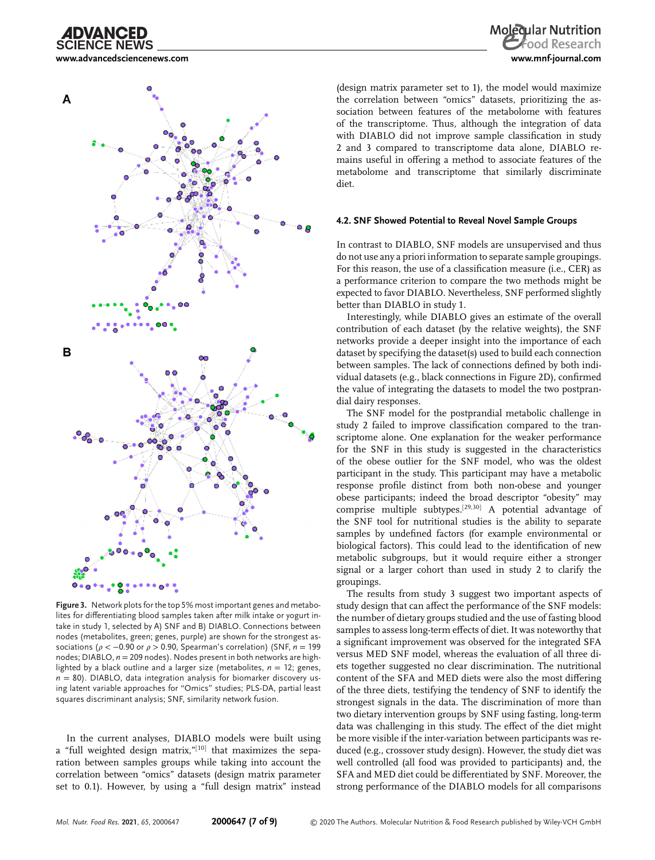**IENCE NEWS** 

**[www.advancedsciencenews.com](http://www.advancedsciencenews.com) [www.mnf-journal.com](http://www.mnf-journal.com)**



**Figure 3.** Network plots for the top 5% most important genes and metabolites for differentiating blood samples taken after milk intake or yogurt intake in study 1, selected by A) SNF and B) DIABLO. Connections between nodes (metabolites, green; genes, purple) are shown for the strongest associations (*ρ* < −0.90 or *ρ* > 0.90, Spearman's correlation) (SNF, *n* = 199 nodes; DIABLO, *n* = 209 nodes). Nodes present in both networks are highlighted by a black outline and a larger size (metabolites, *n* = 12; genes,  $n = 80$ ). DIABLO, data integration analysis for biomarker discovery using latent variable approaches for "Omics" studies; PLS-DA, partial least squares discriminant analysis; SNF, similarity network fusion.

In the current analyses, DIABLO models were built using a "full weighted design matrix," $[10]$  that maximizes the separation between samples groups while taking into account the correlation between "omics" datasets (design matrix parameter set to 0.1). However, by using a "full design matrix" instead (design matrix parameter set to 1), the model would maximize the correlation between "omics" datasets, prioritizing the association between features of the metabolome with features of the transcriptome. Thus, although the integration of data with DIABLO did not improve sample classification in study 2 and 3 compared to transcriptome data alone, DIABLO remains useful in offering a method to associate features of the metabolome and transcriptome that similarly discriminate diet.

#### **4.2. SNF Showed Potential to Reveal Novel Sample Groups**

In contrast to DIABLO, SNF models are unsupervised and thus do not use any a priori information to separate sample groupings. For this reason, the use of a classification measure (i.e., CER) as a performance criterion to compare the two methods might be expected to favor DIABLO. Nevertheless, SNF performed slightly better than DIABLO in study 1.

Interestingly, while DIABLO gives an estimate of the overall contribution of each dataset (by the relative weights), the SNF networks provide a deeper insight into the importance of each dataset by specifying the dataset(s) used to build each connection between samples. The lack of connections defined by both individual datasets (e.g., black connections in Figure 2D), confirmed the value of integrating the datasets to model the two postprandial dairy responses.

The SNF model for the postprandial metabolic challenge in study 2 failed to improve classification compared to the transcriptome alone. One explanation for the weaker performance for the SNF in this study is suggested in the characteristics of the obese outlier for the SNF model, who was the oldest participant in the study. This participant may have a metabolic response profile distinct from both non-obese and younger obese participants; indeed the broad descriptor "obesity" may comprise multiple subtypes.[29,30] A potential advantage of the SNF tool for nutritional studies is the ability to separate samples by undefined factors (for example environmental or biological factors). This could lead to the identification of new metabolic subgroups, but it would require either a stronger signal or a larger cohort than used in study 2 to clarify the groupings.

The results from study 3 suggest two important aspects of study design that can affect the performance of the SNF models: the number of dietary groups studied and the use of fasting blood samples to assess long-term effects of diet. It was noteworthy that a significant improvement was observed for the integrated SFA versus MED SNF model, whereas the evaluation of all three diets together suggested no clear discrimination. The nutritional content of the SFA and MED diets were also the most differing of the three diets, testifying the tendency of SNF to identify the strongest signals in the data. The discrimination of more than two dietary intervention groups by SNF using fasting, long-term data was challenging in this study. The effect of the diet might be more visible if the inter-variation between participants was reduced (e.g., crossover study design). However, the study diet was well controlled (all food was provided to participants) and, the SFA and MED diet could be differentiated by SNF. Moreover, the strong performance of the DIABLO models for all comparisons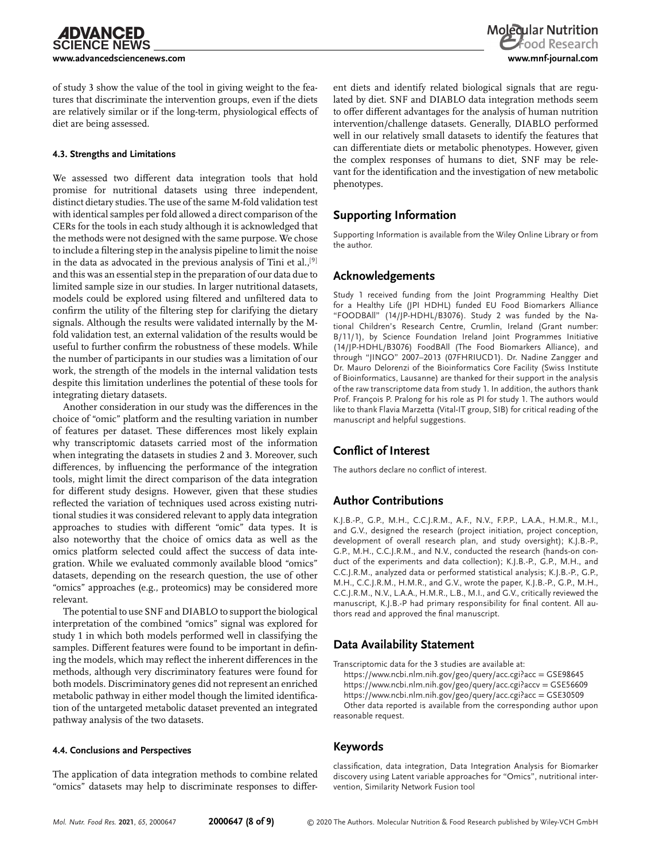of study 3 show the value of the tool in giving weight to the features that discriminate the intervention groups, even if the diets are relatively similar or if the long-term, physiological effects of diet are being assessed.

#### **4.3. Strengths and Limitations**

**CIENCE NEWS** 

We assessed two different data integration tools that hold promise for nutritional datasets using three independent, distinct dietary studies. The use of the same M-fold validation test with identical samples per fold allowed a direct comparison of the CERs for the tools in each study although it is acknowledged that the methods were not designed with the same purpose. We chose to include a filtering step in the analysis pipeline to limit the noise in the data as advocated in the previous analysis of Tini et al.,<sup>[9]</sup> and this was an essential step in the preparation of our data due to limited sample size in our studies. In larger nutritional datasets, models could be explored using filtered and unfiltered data to confirm the utility of the filtering step for clarifying the dietary signals. Although the results were validated internally by the Mfold validation test, an external validation of the results would be useful to further confirm the robustness of these models. While the number of participants in our studies was a limitation of our work, the strength of the models in the internal validation tests despite this limitation underlines the potential of these tools for integrating dietary datasets.

Another consideration in our study was the differences in the choice of "omic" platform and the resulting variation in number of features per dataset. These differences most likely explain why transcriptomic datasets carried most of the information when integrating the datasets in studies 2 and 3. Moreover, such differences, by influencing the performance of the integration tools, might limit the direct comparison of the data integration for different study designs. However, given that these studies reflected the variation of techniques used across existing nutritional studies it was considered relevant to apply data integration approaches to studies with different "omic" data types. It is also noteworthy that the choice of omics data as well as the omics platform selected could affect the success of data integration. While we evaluated commonly available blood "omics" datasets, depending on the research question, the use of other "omics" approaches (e.g., proteomics) may be considered more relevant.

The potential to use SNF and DIABLO to support the biological interpretation of the combined "omics" signal was explored for study 1 in which both models performed well in classifying the samples. Different features were found to be important in defining the models, which may reflect the inherent differences in the methods, although very discriminatory features were found for both models. Discriminatory genes did not represent an enriched metabolic pathway in either model though the limited identification of the untargeted metabolic dataset prevented an integrated pathway analysis of the two datasets.

#### **4.4. Conclusions and Perspectives**

The application of data integration methods to combine related "omics" datasets may help to discriminate responses to different diets and identify related biological signals that are regulated by diet. SNF and DIABLO data integration methods seem to offer different advantages for the analysis of human nutrition intervention/challenge datasets. Generally, DIABLO performed well in our relatively small datasets to identify the features that can differentiate diets or metabolic phenotypes. However, given the complex responses of humans to diet, SNF may be relevant for the identification and the investigation of new metabolic phenotypes.

### **Supporting Information**

Supporting Information is available from the Wiley Online Library or from the author.

### **Acknowledgements**

Study 1 received funding from the Joint Programming Healthy Diet for a Healthy Life (JPI HDHL) funded EU Food Biomarkers Alliance "FOODBAll" (14/JP-HDHL/B3076). Study 2 was funded by the National Children's Research Centre, Crumlin, Ireland (Grant number: B/11/1), by Science Foundation Ireland Joint Programmes Initiative (14/JP-HDHL/B3076) FoodBAll (The Food Biomarkers Alliance), and through "JINGO" 2007–2013 (07FHRIUCD1). Dr. Nadine Zangger and Dr. Mauro Delorenzi of the Bioinformatics Core Facility (Swiss Institute of Bioinformatics, Lausanne) are thanked for their support in the analysis of the raw transcriptome data from study 1. In addition, the authors thank Prof. François P. Pralong for his role as PI for study 1. The authors would like to thank Flavia Marzetta (Vital-IT group, SIB) for critical reading of the manuscript and helpful suggestions.

### **Conflict of Interest**

The authors declare no conflict of interest.

### **Author Contributions**

K.J.B.-P., G.P., M.H., C.C.J.R.M., A.F., N.V., F.P.P., L.A.A., H.M.R., M.I., and G.V., designed the research (project initiation, project conception, development of overall research plan, and study oversight); K.J.B.-P., G.P., M.H., C.C.J.R.M., and N.V., conducted the research (hands-on conduct of the experiments and data collection); K.J.B.-P., G.P., M.H., and C.C.J.R.M., analyzed data or performed statistical analysis; K.J.B.-P., G.P., M.H., C.C.J.R.M., H.M.R., and G.V., wrote the paper, K.J.B.-P., G.P., M.H., C.C.J.R.M., N.V., L.A.A., H.M.R., L.B., M.I., and G.V., critically reviewed the manuscript, K.J.B.-P had primary responsibility for final content. All authors read and approved the final manuscript.

### **Data Availability Statement**

Transcriptomic data for the 3 studies are available at:

https://www.ncbi.nlm.nih.gov/geo/query/acc.cgi?acc = GSE98645 https://www.ncbi.nlm.nih.gov/geo/query/acc.cgi?accv = GSE56609 https://www.ncbi.nlm.nih.gov/geo/query/acc.cgi?acc = GSE30509

Other data reported is available from the corresponding author upon reasonable request.

### **Keywords**

classification, data integration, Data Integration Analysis for Biomarker discovery using Latent variable approaches for "Omics", nutritional intervention, Similarity Network Fusion tool